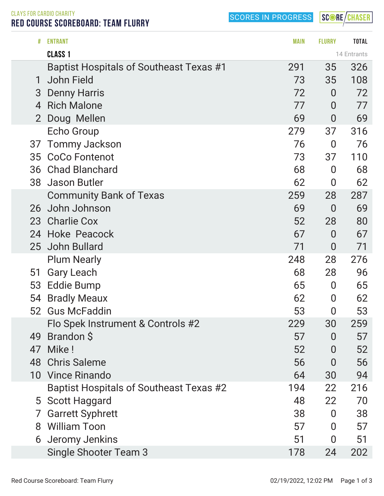SCORES IN PROGRESS

SCORE/CHASER

CLAYS FOR CARDIO CHARITY RED COURSE SCOREBOARD: TEAM FLURRY

| #              | <b>ENTRANT</b>                          | <b>MAIN</b> | <b>FLURRY</b>    | <b>TOTAL</b> |
|----------------|-----------------------------------------|-------------|------------------|--------------|
|                | CLASS <sub>1</sub>                      |             |                  | 14 Entrants  |
|                | Baptist Hospitals of Southeast Texas #1 | 291         | 35               | 326          |
| 1              | <b>John Field</b>                       | 73          | 35               | 108          |
| 3              | <b>Denny Harris</b>                     | 72          | $\overline{0}$   | 72           |
| 4              | <b>Rich Malone</b>                      | 77          | $\overline{0}$   | 77           |
| $\overline{2}$ | Doug Mellen                             | 69          | $\overline{0}$   | 69           |
|                | <b>Echo Group</b>                       | 279         | 37               | 316          |
| 37             | <b>Tommy Jackson</b>                    | 76          | $\overline{0}$   | 76           |
| 35             | <b>CoCo Fontenot</b>                    | 73          | 37               | 110          |
| 36             | <b>Chad Blanchard</b>                   | 68          | $\overline{0}$   | 68           |
| 38             | <b>Jason Butler</b>                     | 62          | $\bf{0}$         | 62           |
|                | <b>Community Bank of Texas</b>          | 259         | 28               | 287          |
| 26             | John Johnson                            | 69          | $\overline{0}$   | 69           |
| 23             | <b>Charlie Cox</b>                      | 52          | 28               | 80           |
|                | 24 Hoke Peacock                         | 67          | $\overline{0}$   | 67           |
|                | 25 John Bullard                         | 71          | $\overline{0}$   | 71           |
|                | <b>Plum Nearly</b>                      | 248         | 28               | 276          |
| 51             | <b>Gary Leach</b>                       | 68          | 28               | 96           |
| 53             | <b>Eddie Bump</b>                       | 65          | $\boldsymbol{0}$ | 65           |
| 54             | <b>Bradly Meaux</b>                     | 62          | $\overline{0}$   | 62           |
| 52             | <b>Gus McFaddin</b>                     | 53          | $\boldsymbol{0}$ | 53           |
|                | Flo Spek Instrument & Controls #2       | 229         | 30               | 259          |
| 49             | Brandon \$                              | 57          | $\overline{0}$   | 57           |
| 47             | Mike!                                   | 52          | $\overline{0}$   | 52           |
| 48             | <b>Chris Saleme</b>                     | 56          | $\overline{0}$   | 56           |
| 10             | <b>Vince Rinando</b>                    | 64          | 30               | 94           |
|                | Baptist Hospitals of Southeast Texas #2 | 194         | 22               | 216          |
|                | 5 Scott Haggard                         | 48          | 22               | 70           |
| 7              | <b>Garrett Syphrett</b>                 | 38          | $\overline{0}$   | 38           |
| 8              | <b>William Toon</b>                     | 57          | $\overline{0}$   | 57           |
| 6              | Jeromy Jenkins                          | 51          | $\overline{0}$   | 51           |
|                | <b>Single Shooter Team 3</b>            | 178         | 24               | 202          |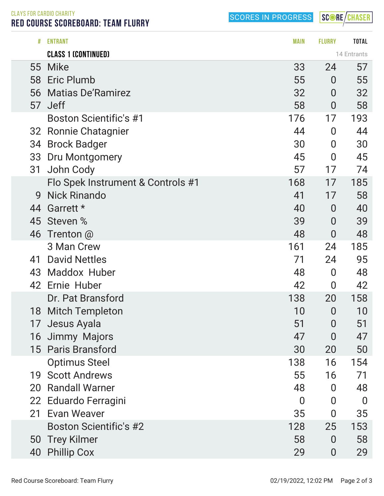SCORES IN PROGRESS

SCORE/CHASER

CLAYS FOR CARDIO CHARITY RED COURSE SCOREBOARD: TEAM FLURRY

|    | <b>CLASS 1 (CONTINUED)</b>        |                |                | 14 Entrants      |
|----|-----------------------------------|----------------|----------------|------------------|
| 55 | <b>Mike</b>                       | 33             | 24             | 57               |
|    | 58 Eric Plumb                     | 55             | $\overline{0}$ | 55               |
| 56 | <b>Matias De'Ramirez</b>          | 32             | $\bf{0}$       | 32               |
| 57 | <b>Jeff</b>                       | 58             | $\overline{0}$ | 58               |
|    | <b>Boston Scientific's #1</b>     | 176            | 17             | 193              |
|    | 32 Ronnie Chatagnier              | 44             | 0              | 44               |
| 34 | <b>Brock Badger</b>               | 30             | $\overline{0}$ | 30               |
| 33 | <b>Dru Montgomery</b>             | 45             | $\overline{0}$ | 45               |
| 31 | John Cody                         | 57             | 17             | 74               |
|    | Flo Spek Instrument & Controls #1 | 168            | 17             | 185              |
| 9  | <b>Nick Rinando</b>               | 41             | 17             | 58               |
| 44 | Garrett *                         | 40             | $\overline{0}$ | 40               |
| 45 | Steven %                          | 39             | $\overline{0}$ | 39               |
|    | 46 Trenton @                      | 48             | $\overline{0}$ | 48               |
|    | 3 Man Crew                        | 161            | 24             | 185              |
| 41 | <b>David Nettles</b>              | 71             | 24             | 95               |
|    | 43 Maddox Huber                   | 48             | $\overline{0}$ | 48               |
|    | 42 Ernie Huber                    | 42             | 0              | 42               |
|    | Dr. Pat Bransford                 | 138            | 20             | 158              |
| 18 | <b>Mitch Templeton</b>            | 10             | $\overline{0}$ | 10               |
| 17 | Jesus Ayala                       | 51             | 0              | 51               |
|    | 16 Jimmy Majors                   | 47             | $\overline{0}$ | 47               |
|    | 15 Paris Bransford                | 30             | 20             | 50               |
|    | <b>Optimus Steel</b>              | 138            | 16             | 154              |
| 19 | <b>Scott Andrews</b>              | 55             | 16             | 71               |
| 20 | <b>Randall Warner</b>             | 48             | $\overline{0}$ | 48               |
|    | 22 Eduardo Ferragini              | $\overline{0}$ | 0              | $\boldsymbol{0}$ |
| 21 | <b>Evan Weaver</b>                | 35             | 0              | 35               |
|    | <b>Boston Scientific's #2</b>     | 128            | 25             | 153              |
| 50 | <b>Trey Kilmer</b>                | 58             | $\overline{0}$ | 58               |
| 40 | <b>Phillip Cox</b>                | 29             | $\overline{0}$ | 29               |

# ENTRANT MAIN FLURRY TOTAL